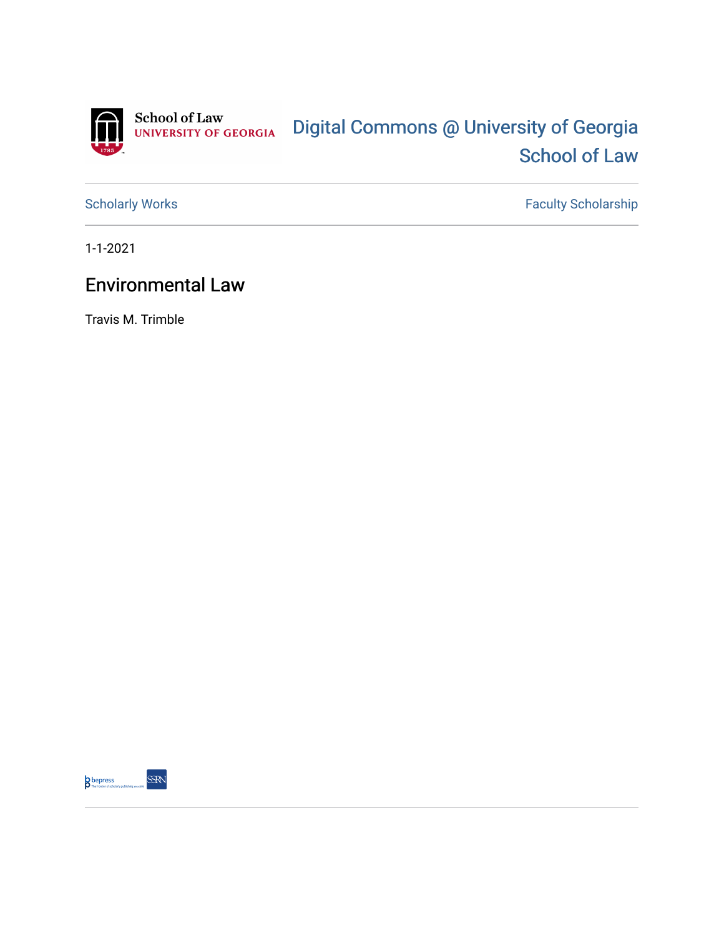

[Scholarly Works](https://digitalcommons.law.uga.edu/fac_artchop) Faculty Scholarship

1-1-2021

## Environmental Law

Travis M. Trimble

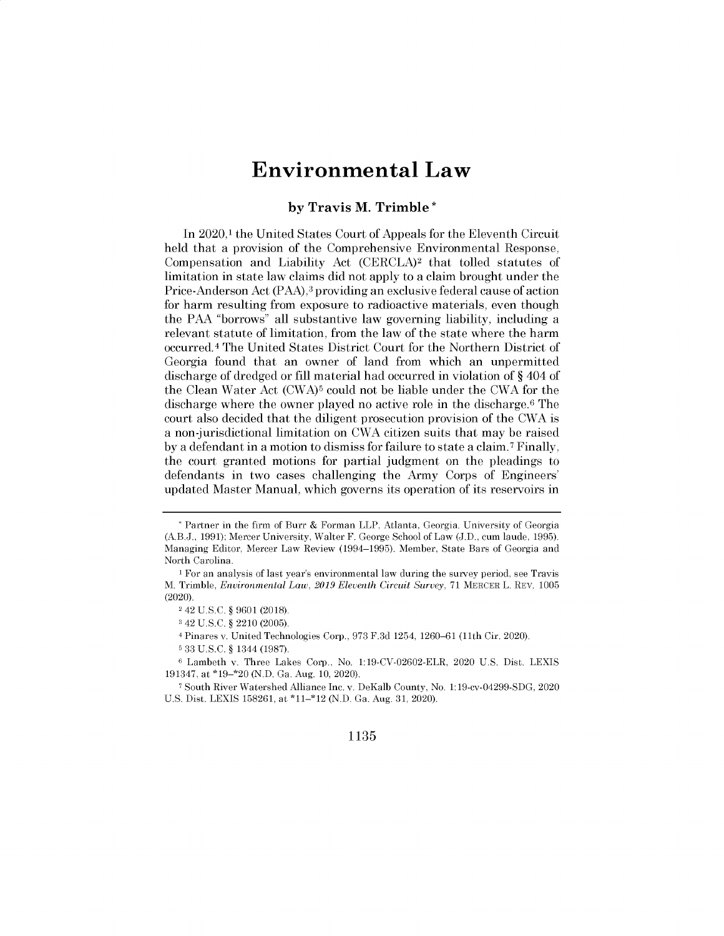## **Environmental Law**

## by Travis M. Trimble

In 2020,<sup>1</sup> the United States Court of Appeals for the Eleventh Circuit held that a provision of the Comprehensive Environmental Response, Compensation and Liability Act (CERCLA)2 that tolled statutes of limitation in state law claims did not apply to a claim brought under the Price-Anderson Act (PAA),3 providing an exclusive federal cause of action for harm resulting from exposure to radioactive materials, even though the PAA "borrows" all substantive law governing liability, including a relevant statute of limitation, from the law of the state where the harm occurred. <sup>4</sup>The United States District Court for the Northern District of Georgia found that an owner of land from which an unpermitted discharge of dredged or fill material had occurred in violation of § 404 of the Clean Water Act (CWA)5 could not be liable under the CWA for the discharge where the owner played no active role in the discharge.<sup>6</sup> The court also decided that the diligent prosecution provision of the CWA is a non-jurisdictional limitation on CWA citizen suits that may be raised by a defendant in a motion to dismiss for failure to state a claim.<sup>7</sup>Finally, the court granted motions for partial judgment on the pleadings to defendants in two cases challenging the Army Corps of Engineers' updated Master Manual, which governs its operation of its reservoirs in

4 Pinares v. United Technologies Corp., 973 F.3d 1254, 1260-61 (11th Cir. 2020).

## 1135

<sup>\*</sup> Partner in the firm of Burr & Forman LLP, Atlanta, Georgia. University of Georgia (A.B.J., 1991); Mercer University, Walter F. George School of Law (J.D., cum laude, 1995). Managing Editor, Mercer Law Review (1994-1995). Member, State Bars of Georgia and North Carolina.

<sup>1</sup> For an analysis of last year's environmental law during the survey period, see Travis M. Trimble, *Environmental Law, 2019 Eleventh Circuit Survey,* 71 MERCER L. REV. 1005 (2020).

<sup>2</sup>42 U.S.C. § 9601 (2018).

<sup>3</sup> 42 U.S.C. § 2210 (2005).

<sup>6</sup> 33 U.S.C. § 1344 (1987).

<sup>6</sup> Lambeth v. Three Lakes Corp., No. 1:19-CV-02602-ELR, 2020 U.S. Dist. LEXIS 191347, at \*19-\*20 (N.D. Ga. Aug. 10, 2020).

<sup>7</sup> South River Watershed Alliance Inc. v. DeKalb County, No. 1:19-cv-04299-SDG, 2020 U.S. Dist. LEXIS 158261, at \*11-\*12 (N.D. Ga. Aug. 31, 2020).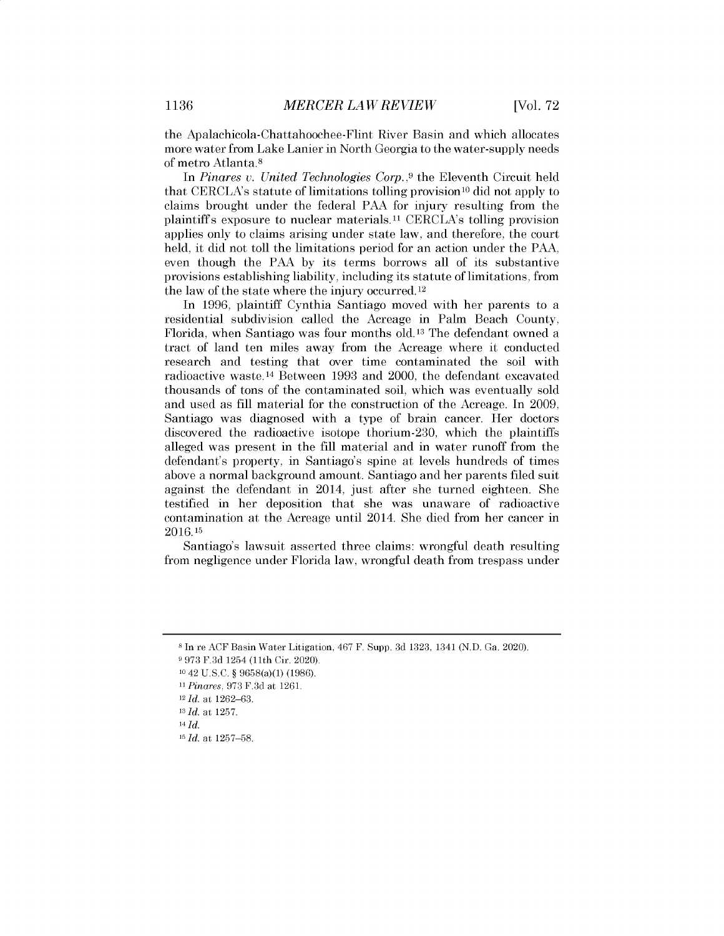the Apalachicola-Chattahoochee-Flint River Basin and which allocates more water from Lake Lanier in North Georgia to the water-supply needs of metro Atlanta.<sup>8</sup>

In *Pinares v. United Technologies Corp.,9* the Eleventh Circuit held that CERCLA's statute of limitations tolling provision<sup>10</sup> did not apply to claims brought under the federal PAA for injury resulting from the plaintiffs exposure to nuclear materials. **11** CERCLA's tolling provision applies only to claims arising under state law, and therefore, the court held, it did not toll the limitations period for an action under the PAA, even though the PAA by its terms borrows all of its substantive provisions establishing liability, including its statute of limitations, from the law of the state where the injury occurred. **<sup>12</sup>**

In 1996, plaintiff Cynthia Santiago moved with her parents to a residential subdivision called the Acreage in Palm Beach County, Florida, when Santiago was four months old. **13** The defendant owned a tract of land ten miles away from the Acreage where it conducted research and testing that over time contaminated the soil with radioactive waste. **14** Between 1993 and 2000, the defendant excavated thousands of tons of the contaminated soil, which was eventually sold and used as fill material for the construction of the Acreage. In 2009, Santiago was diagnosed with a type of brain cancer. Her doctors discovered the radioactive isotope thorium-230, which the plaintiffs alleged was present in the fill material and in water runoff from the defendant's property, in Santiago's spine at levels hundreds of times above a normal background amount. Santiago and her parents filed suit against the defendant in 2014, just after she turned eighteen. She testified in her deposition that she was unaware of radioactive contamination at the Acreage until 2014. She died from her cancer in 2016.15

Santiago's lawsuit asserted three claims: wrongful death resulting from negligence under Florida law, wrongful death from trespass under

<sup>8</sup>In re ACF Basin Water Litigation, 467 F. Supp. 3d 1323, 1341 (N.D. Ga. 2020).

<sup>9</sup>973 F.3d 1254 (11th Cir. 2020).

<sup>10</sup>42 U.S.C. § 9658(a)(1) (1986).

<sup>11</sup>*Pinares,* 973 F.3d at 1261.

*<sup>12</sup>Id.* at 1262-63.

*<sup>13</sup>Id.* at 1257.

*<sup>14</sup>Id.*

*<sup>15</sup>Id.* at 1257-58.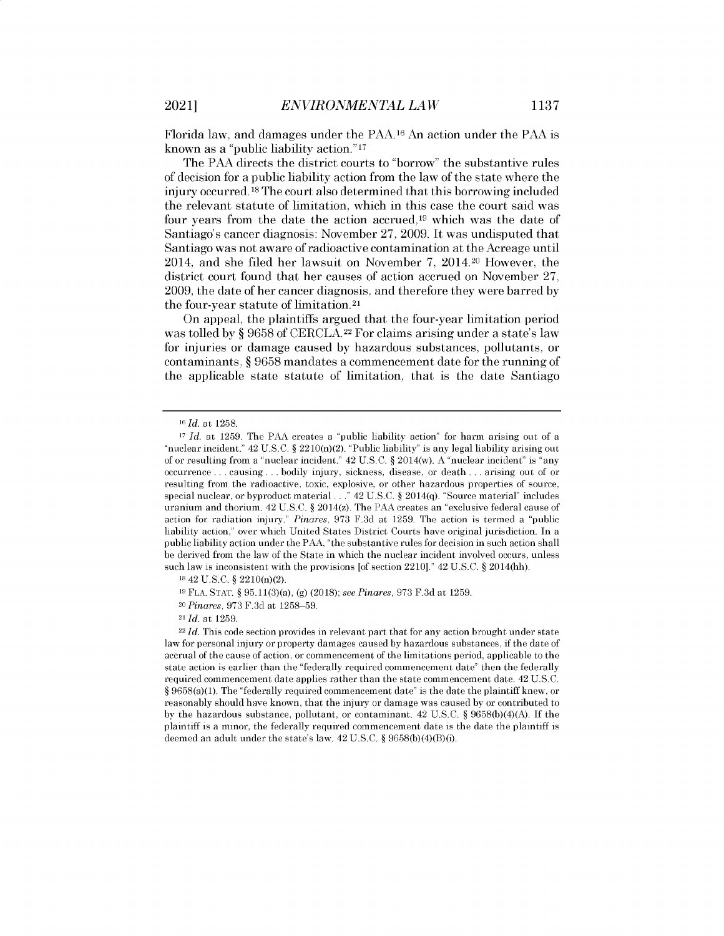Florida law, and damages under the PAA.16 An action under the PAA is known as a "public liability action." <sup>17</sup>

The *PAA* directs the district courts to "borrow" the substantive rules of decision for a public liability action from the law of the state where the injury occurred. 18 The court also determined that this borrowing included the relevant statute of limitation, which in this case the court said was four years from the date the action accrued,<sup>19</sup> which was the date of Santiago's cancer diagnosis: November 27, 2009. It was undisputed that Santiago was not aware of radioactive contamination at the Acreage until 2014, and she filed her lawsuit on November 7, 2014.20 However, the district court found that her causes of action accrued on November 27, 2009, the date of her cancer diagnosis, and therefore they were barred by the four-year statute of limitation. <sup>2</sup> 1

On appeal, the plaintiffs argued that the four-year limitation period was tolled by § 9658 of CERCLA.<sup>22</sup> For claims arising under a state's law for injuries or damage caused by hazardous substances, pollutants, or contaminants, § 9658 mandates a commencement date for the running of the applicable state statute of limitation, that is the date Santiago

<sup>20</sup>*Pinares,* 973 F.3d at 1258-59.

*<sup>16</sup>Id. at* 1258.

<sup>17</sup>*Id. at* 1259. The *PAA* creates a "public liability action" for harm arising out of a "nuclear incident." 42 U.S.C. § 2210(n)(2). "Public liability" is any legal liability arising out of or resulting from a "nuclear incident." 42 U.S.C. § 2014(w). A "nuclear incident" is "any occurrence . . . causing . . . bodily injury, sickness, disease, or death . . . arising out of or resulting from the radioactive, toxic, explosive, or other hazardous properties of source, special nuclear, or byproduct material. **.** " 42 U.S.C. § 2014(q). "Source material" includes uranium and thorium. 42 U.S.C. § 2014(z). The PAA creates an "exclusive federal cause of action for radiation injury." *Pinares,* 973 F.3d at 1259. The action is termed a "public liability action," over which United States District Courts have original jurisdiction. In a public liability action under the PAA, "the substantive rules for decision in such action shall be derived from the law of the State in which the nuclear incident involved occurs, unless such law is inconsistent with the provisions [of section 2210]." 42 U.S.C. § 2014(hh).

<sup>18</sup>42 U.S.C. § 2210(n)(2).

<sup>19</sup>FLA. STAT. § 95.11(3)(a), (g) (2018); *see Pinares,* 973 F.3d at 1259.

*<sup>21</sup>Id.* at 1259.

<sup>&</sup>lt;sup>22</sup>*Id.* This code section provides in relevant part that for any action brought under state law for personal injury or property damages caused by hazardous substances, if the date of accrual of the cause of action, or commencement of the limitations period, applicable to the state action is earlier than the "federally required commencement date" then the federally required commencement date applies rather than the state commencement date. 42 U.S.C. § 9658(a)(1). The "federally required commencement date" is the date the plaintiff knew, or reasonably should have known, that the injury or damage was caused by or contributed to by the hazardous substance, pollutant, or contaminant. 42 U.S.C. § 9658(b)(4)(A). If the plaintiff is a minor, the federally required commencement date is the date the plaintiff is deemed an adult under the state's law. 42 U.S.C. § 9658(b)(4)(B)(i).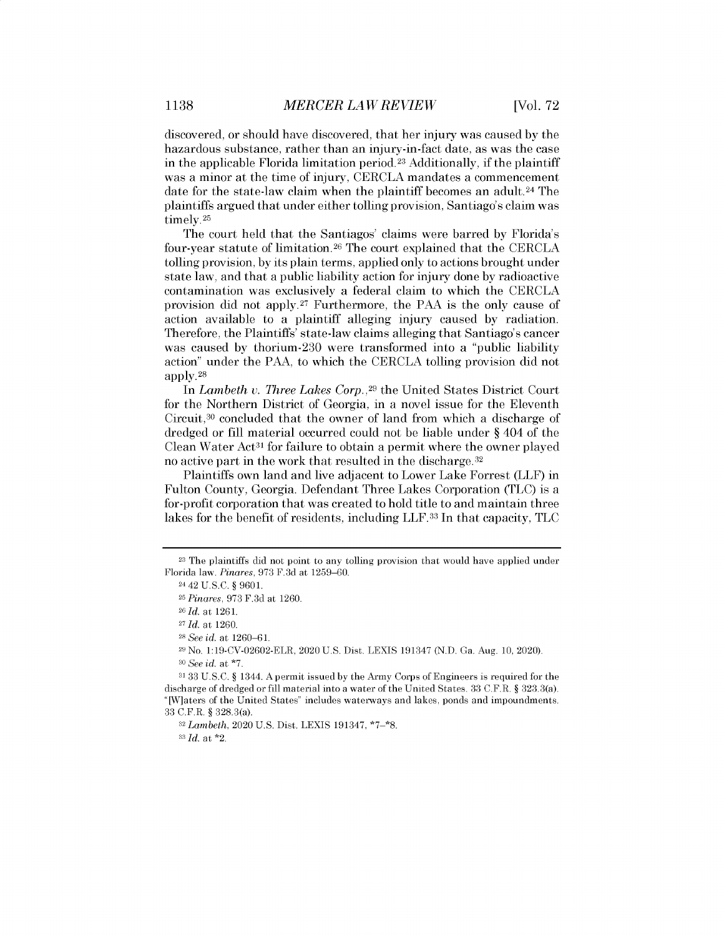discovered, or should have discovered, that her injury was caused by the hazardous substance, rather than an injury-in-fact date, as was the case in the applicable Florida limitation period.23 Additionally, if the plaintiff was a minor at the time of injury, CERCLA mandates a commencement date for the state-law claim when the plaintiff becomes an adult.<sup>24</sup> The plaintiffs argued that under either tolling provision, Santiago's claim was timely.<sup>25</sup>

The court held that the Santiagos' claims were barred by Florida's four-year statute of limitation.<sup>26</sup> The court explained that the CERCLA tolling provision, by its plain terms, applied only to actions brought under state law, and that a public liability action for injury done by radioactive contamination was exclusively a federal claim to which the CERCLA provision did not apply.<sup>27</sup> Furthermore, the PAA is the only cause of action available to a plaintiff alleging injury caused by radiation. Therefore, the Plaintiffs' state-law claims alleging that Santiago's cancer was caused by thorium-230 were transformed into a "public liability action" under the PAA, to which the CERCLA tolling provision did not apply. <sup>28</sup>

In *Lambeth v.* Three *Lakes Corp.,<sup>29</sup>*the United States District Court for the Northern District of Georgia, in a novel issue for the Eleventh Circuit, $30$  concluded that the owner of land from which a discharge of dredged or fill material occurred could not be liable under § 404 of the Clean Water  $Act^{31}$  for failure to obtain a permit where the owner played no active part in the work that resulted in the discharge. <sup>32</sup>

Plaintiffs own land and live adjacent to Lower Lake Forrest (LLF) in Fulton County, Georgia. Defendant Three Lakes Corporation (TLC) is a for-profit corporation that was created to hold title to and maintain three lakes for the benefit of residents, including LLF.33 In that capacity, TLC

*<sup>33</sup>Id.* at \*2.

<sup>23</sup>The plaintiffs did not point to any tolling provision that would have applied under Florida law. *Pinares,* 973 F.3d at 1259-60.

<sup>24</sup>42 U.S.C. § 9601.

<sup>25</sup>*Pinares,* 973 F.3d at 1260.

*<sup>26</sup>Id.* at 1261.

*<sup>27</sup>Id.* at 1260.

<sup>28</sup>*See id.* at 1260-6 1.

<sup>29</sup>No. 1:19-CV-02602-ELR, 2020 U.S. Dist. LEXIS 191347 (N.D. Ga. Aug. 10, 2020). <sup>30</sup>*See id.* at **\*7.**

<sup>31 33</sup> U.S.C. § 1344. A permit issued by the Army Corps of Engineers is required for the discharge of dredged or fill material into a water of the United States. 33 C.F.R. § 323.3(a). "[W]aters of the United States" includes waterways and lakes, ponds and impoundments. 33 C.F.R. § 328.3(a).

<sup>32</sup>*Lambeth,* 2020 U.S. Dist. LEXIS 191347, \*7-\*8.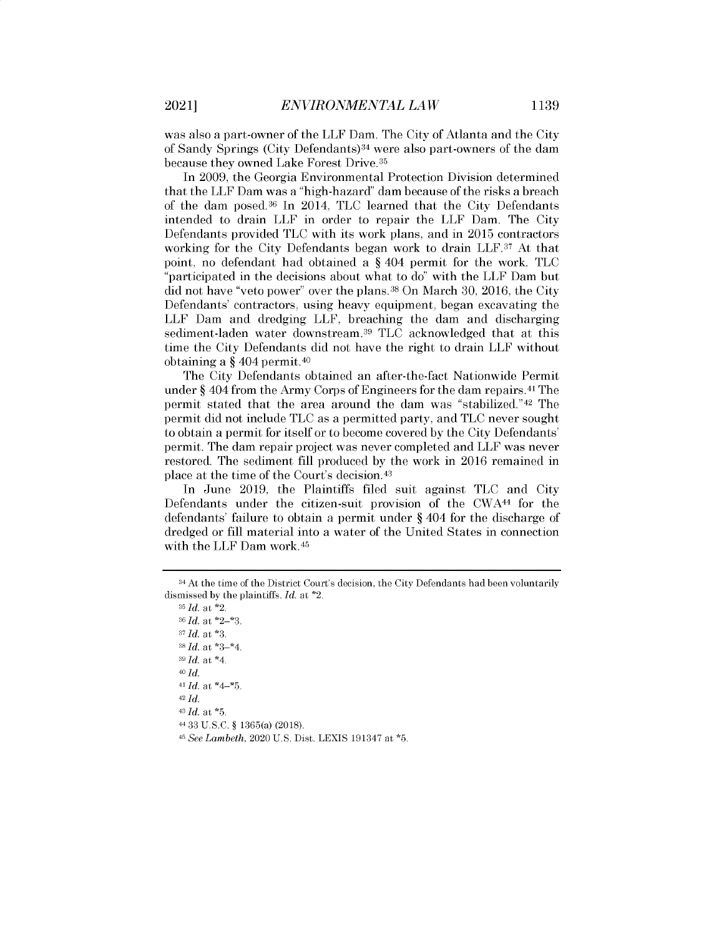was also a part-owner of the LLF Dam. The City of Atlanta and the City of Sandy Springs (City Defendants)<sup>34</sup> were also part-owners of the dam because they owned Lake Forest Drive.<sup>35</sup>

In 2009, the Georgia Environmental Protection Division determined that the LLF Dam was a "high-hazard" dam because of the risks a breach of the dam posed.<sup>36</sup>In 2014, TLC learned that the City Defendants intended to drain LLF in order to repair the LLF Dam. The City Defendants provided TLC with its work plans, and in 2015 contractors working for the City Defendants began work to drain LLF.37 At that point, no defendant had obtained a § 404 permit for the work. TLC "participated in the decisions about what to do" with the LLF Dam but did not have "veto power" over the plans.<sup>38</sup> On March 30, 2016, the City Defendants' contractors, using heavy equipment, began excavating the LLF Dam and dredging LLF, breaching the dam and discharging sediment-laden water downstream.<sup>39</sup> TLC acknowledged that at this time the City Defendants did not have the right to drain LLF without obtaining a § 404 permit.<sup>40</sup>

The City Defendants obtained an after-the-fact Nationwide Permit under  $\S 404$  from the Army Corps of Engineers for the dam repairs.<sup>41</sup> The permit stated that the area around the dam was "stabilized."<sup>42</sup> The permit did not include TLC as a permitted party, and TLC never sought to obtain a permit for itself or to become covered by the City Defendants' permit. The dam repair project was never completed and LLF was never restored. The sediment fill produced by the work in 2016 remained in place at the time of the Court's decision.<sup>43</sup>

In June 2019, the Plaintiffs filed suit against TLC and City Defendants under the citizen-suit provision of the CWA44 for the defendants' failure to obtain a permit under § 404 for the discharge of dredged or fill material into a water of the United States in connection with the LLF Dam work. <sup>45</sup>

<sup>&</sup>lt;sup>34</sup> At the time of the District Court's decision, the City Defendants had been voluntarily dismissed by the plaintiffs. *Id.* at \*2.

*<sup>35</sup>Id.* at \*2. *<sup>36</sup>Id.* at \*2\_\*3. *37 Id.* at **\*3.** <sup>38</sup>*Id.* at \*3\_\*4. *<sup>39</sup>Id.* at \*4. 40 *Id.* <sup>41</sup>*Id.* at \*4-\*5. 42 *Id. <sup>43</sup>Id.* at **\*5.** <sup>44</sup>33 U.S.C. § 1365(a) (2018).

*<sup>45</sup>See Lambeth,* 2020 U.S. Dist. LEXIS 191347 at **\*5.**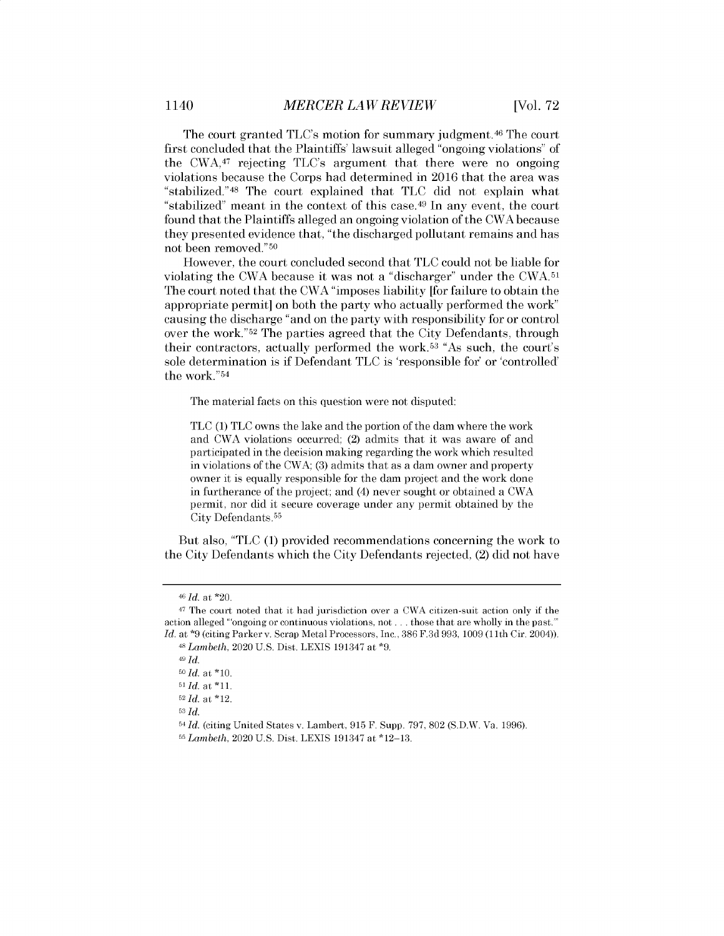The court granted TLC's motion for summary judgment.<sup>46</sup> The court first concluded that the Plaintiffs' lawsuit alleged "ongoing violations" of the CWA,47 rejecting TLC's argument that there were no ongoing violations because the Corps had determined in 2016 that the area was "stabilized." <sup>48</sup>The court explained that TLC did not explain what "stabilized" meant in the context of this case.<sup>49</sup> In any event, the court found that the Plaintiffs alleged an ongoing violation of the CWA because they presented evidence that, "the discharged pollutant remains and has not been removed." <sup>50</sup>

However, the court concluded second that TLC could not be liable for violating the CWA because it was not a "discharger" under the CWA.51 The court noted that the CWA "imposes liability [for failure to obtain the appropriate permit] on both the party who actually performed the work" causing the discharge "and on the party with responsibility for or control over the work."<sup>52</sup> The parties agreed that the City Defendants, through their contractors, actually performed the work.<sup>53</sup> "As such, the court's sole determination is if Defendant TLC is 'responsible for' or 'controlled' the work." <sup>54</sup>

The material facts on this question were not disputed:

TLC (1) TLC owns the lake and the portion of the dam where the work and CWA violations occurred; (2) admits that it was aware of and participated in the decision making regarding the work which resulted in violations of the CWA; (3) admits that as a dam owner and property owner it is equally responsible for the dam project and the work done in furtherance of the project; and (4) never sought or obtained a CWA permit, nor did it secure coverage under any permit obtained by the City Defendants. <sup>55</sup>

But also, "TLC (1) provided recommendations concerning the work to the City Defendants which the City Defendants rejected, (2) did not have

*<sup>46</sup>Id. at* \*20.

<sup>47</sup>The court noted that it had jurisdiction over a CWA citizen-suit action only if the action alleged ''ongoing or continuous violations, not ... those that are wholly in the past."' *Id.* at **\*9** (citing Parker v. Scrap Metal Processors, Inc., 386 F.3d 993, 1009 (11th Cir. 2004)).

<sup>48</sup>*Lambeth,* 2020 U.S. Dist. LEXIS 191347 at **\*9.**

*<sup>49</sup> Id.*

*<sup>5</sup>i Id.* at \*10.

*<sup>51</sup>Id.* at \*11.

*<sup>52</sup>Id.* at \*12.

<sup>53</sup>*Id.*

<sup>54</sup>**Id.** (citing United States v. Lambert, 915 F. Supp. 797, 802 (S.D.W. Va. 1996). <sup>55</sup>*Lambeth,* 2020 U.S. Dist. LEXIS 191347 at \*12-13.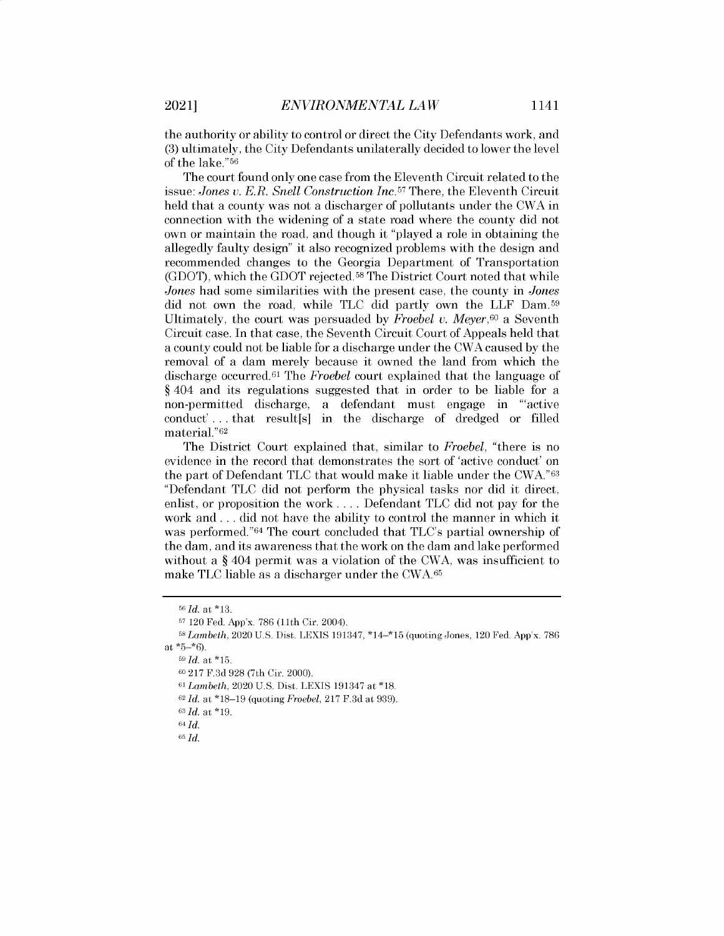the authority or ability to control or direct the City Defendants work, and (3) ultimately, the City Defendants unilaterally decided to lower the level of the lake." <sup>56</sup>

The court found only one case from the Eleventh Circuit related to the issue: *Jones v. E.R. Snell Construction Inc.<sup>57</sup>*There, the Eleventh Circuit held that a county was not a discharger of pollutants under the CWA in connection with the widening of a state road where the county did not own or maintain the road, and though it "played a role in obtaining the allegedly faulty design" it also recognized problems with the design and recommended changes to the Georgia Department of Transportation (GDOT), which the GDOT rejected. <sup>58</sup>The District Court noted that while *Jones* had some similarities with the present case, the county in *Jones* did not own the road, while TLC did partly own the LLF Dam.<sup>59</sup> Ultimately, the court was persuaded by *Froebel v. Meyer,60* a Seventh Circuit case. In that case, the Seventh Circuit Court of Appeals held that a county could not be liable for a discharge under the CWA caused by the removal of a dam merely because it owned the land from which the discharge occurred.<sup>61</sup> The *Froebel* court explained that the language of § 404 and its regulations suggested that in order to be liable for a non-permitted discharge, a defendant must engage in "'active conduct' . . . that result[s] in the discharge of dredged or filled material." <sup>62</sup>

The District Court explained that, similar to *Froebel,* "there is no evidence in the record that demonstrates the sort of 'active conduct' on the part of Defendant TLC that would make it liable under the CWA."63 "Defendant TLC did not perform the physical tasks nor did it direct, enlist, or proposition the work .... Defendant TLC did not pay for the work and . .. did not have the ability to control the manner in which it was performed."<sup>64</sup> The court concluded that TLC's partial ownership of the dam, and its awareness that the work on the dam and lake performed without a § 404 permit was a violation of the CWA, was insufficient to make TLC liable as a discharger under the CWA.65

<sup>56</sup>*Id. at* \*13.

<sup>67 120</sup> Fed. App'x. 786 (11th Cir. 2004).

*<sup>5</sup>8 Lambeth,* 2020 U.S. Dist. LEXIS 191347, \*14-\*15 (quoting Jones, 120 Fed. App'x. 786 *at* \*5-\*6).

*<sup>59</sup> Id. at* \*15.

<sup>60</sup>217 F.3d 928 (7th Cir. 2000).

<sup>61</sup>*Lambeth,* 2020 U.S. Dist. LEXIS 191347 at \*18.

**<sup>62</sup>***Id. at* \*18-19 (quoting *Froebel,* 217 F.3d *at* 939).

*<sup>63</sup> Id* at \*19.

*<sup>64</sup> Id*

*<sup>65</sup> Id*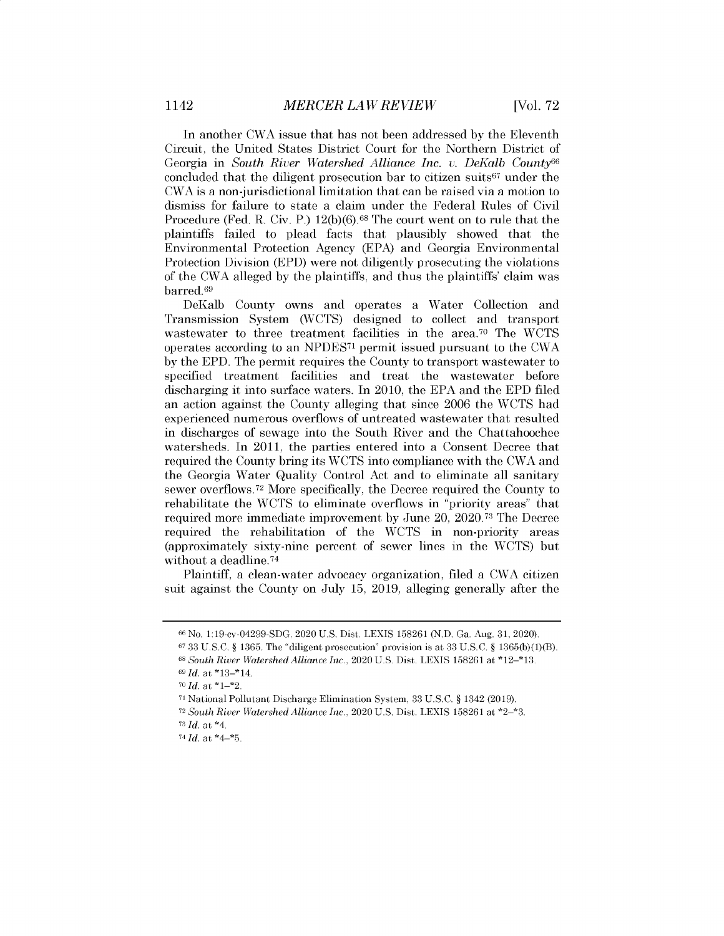In another CWA issue that has not been addressed by the Eleventh Circuit, the United States District Court for the Northern District of Georgia in *South River Watershed Alliance Inc. v. DeKalb County<sup>66</sup>* concluded that the diligent prosecution bar to citizen suits<sup>67</sup> under the CWA is a non-jurisdictional limitation that can be raised via a motion to dismiss for failure to state a claim under the Federal Rules of Civil Procedure (Fed. R. Civ. P.) 12(b)(6).<sup>68</sup> The court went on to rule that the plaintiffs failed to plead facts that plausibly showed that the Environmental Protection Agency (EPA) and Georgia Environmental Protection Division (EPD) were not diligently prosecuting the violations of the CWA alleged by the plaintiffs, and thus the plaintiffs' claim was barred.69

DeKalb County owns and operates a Water Collection and Transmission System (WCTS) designed to collect and transport wastewater to three treatment facilities in the area.<sup>70</sup> The WCTS operates according to an NPDES71 permit issued pursuant to the CWA by the EPD. The permit requires the County to transport wastewater to specified treatment facilities and treat the wastewater before discharging it into surface waters. In 2010, the EPA and the EPD filed an action against the County alleging that since 2006 the WCTS had experienced numerous overflows of untreated wastewater that resulted in discharges of sewage into the South River and the Chattahoochee watersheds. In 2011, the parties entered into a Consent Decree that required the County bring its WCTS into compliance with the CWA and the Georgia Water Quality Control Act and to eliminate all sanitary sewer overflows.72 More specifically, the Decree required the County to rehabilitate the WCTS to eliminate overflows in "priority areas" that required more immediate improvement by June 20, 2020.73 The Decree required the rehabilitation of the WCTS in non-priority areas (approximately sixty-nine percent of sewer lines in the WCTS) but without a deadline. <sup>74</sup>

Plaintiff, a clean-water advocacy organization, filed a CWA citizen suit against the County on July 15, 2019, alleging generally after the

<sup>66</sup> No. 1:19-cv-04299-SDG, 2020 U.S. Dist. LEXIS 158261 (N.D. Ga. Aug. 31, 2020).

 $6733 \text{ U.S.C. }$  § 1365. The "diligent prosecution" provision is at 33 U.S.C. § 1365(b)(1)(B).

<sup>68</sup>*South River Watershed Alliance Inc.,* 2020 U.S. Dist. LEXIS 158261 at \*12-\*13. *69 Id.* at \*13\_\*14.

*<sup>76</sup>Id.* at \*1-\*2.

<sup>71</sup>National Pollutant Discharge Elimination System, 33 U.S.C. § 1342 (2019).

<sup>72</sup>*South River Watershed Alliance Inc.,* 2020 U.S. Dist. LEXIS 158261 at \*2-\*3.  $73$  *Id.* at  $*4$ .

*<sup>74</sup>Id.* at \*4-\*5.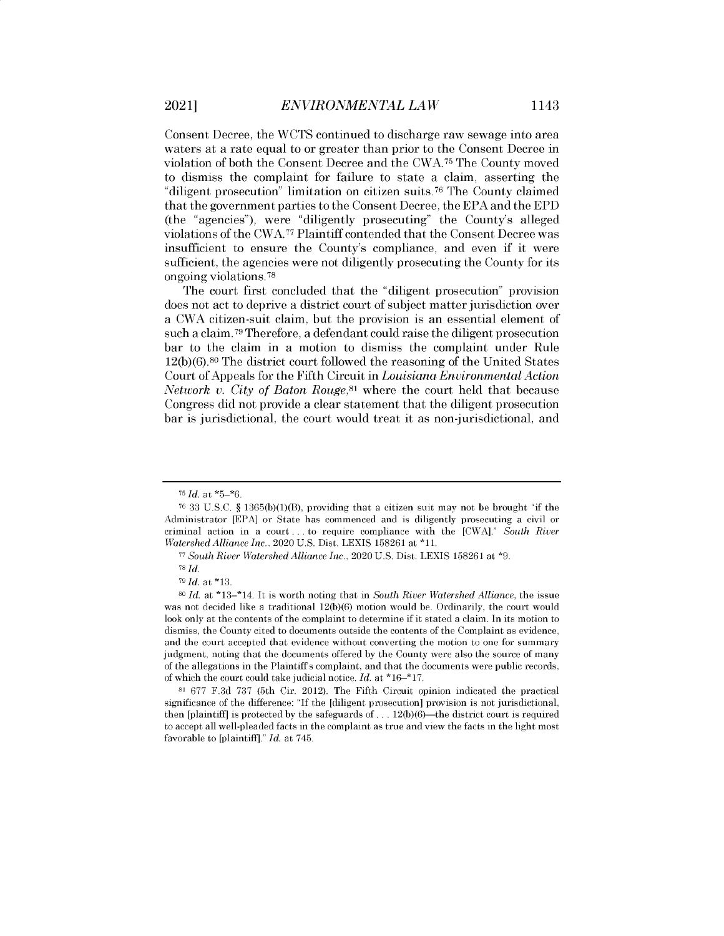Consent Decree, the WCTS continued to discharge raw sewage into area waters at a rate equal to or greater than prior to the Consent Decree in violation of both the Consent Decree and the CWA.75 The County moved to dismiss the complaint for failure to state a claim, asserting the "diligent prosecution" limitation on citizen suits. <sup>76</sup>The County claimed that the government parties to the Consent Decree, the EPA and the EPD (the "agencies"), were "diligently prosecuting" the County's alleged violations of the CWA.77 Plaintiff contended that the Consent Decree was insufficient to ensure the County's compliance, and even if it were sufficient, the agencies were not diligently prosecuting the County for its ongoing violations. <sup>78</sup>

The court first concluded that the "diligent prosecution" provision does not act to deprive a district court of subject matter jurisdiction over a CWA citizen-suit claim, but the provision is an essential element of such a claim. <sup>79</sup>Therefore, a defendant could raise the diligent prosecution bar to the claim in a motion to dismiss the complaint under Rule 12(b)(6).80 The district court followed the reasoning of the United States Court of Appeals for the Fifth Circuit in *Louisiana Environmental Action Network v. City of Baton Rouge*,<sup>81</sup> where the court held that because Congress did not provide a clear statement that the diligent prosecution bar is jurisdictional, the court would treat it as non-jurisdictional, and

*<sup>76</sup>Id.* at \*5-\*6.

 $7633$  U.S.C. § 1365(b)(1)(B), providing that a citizen suit may not be brought "if the Administrator [EPA] or State has commenced and is diligently prosecuting a civil or criminal action in a court . . . to require compliance with the [CWA]." *South River Watershed Alliance Inc.,* 2020 U.S. Dist. LEXIS 158261 at \*11.

*<sup>77</sup>South River Watershed Alliance Inc.,* 2020 U.S. Dist. LEXIS 158261 at **\*9.**

<sup>78</sup> *Id.*

 $79$ *Id.* at \*13.

<sup>80</sup>*Id.* at \*13\_\*14. It is worth noting that in *South River Watershed Alliance,* the issue was not decided like a traditional 12(b)(6) motion would be. Ordinarily, the court would look only at the contents of the complaint to determine if **it** stated a claim. In its motion to dismiss, the County cited to documents outside the contents of the Complaint as evidence, and the court accepted that evidence without converting the motion to one for summary judgment, noting that the documents offered by the County were also the source of many of the allegations in the Plaintiffs complaint, and that the documents were public records, of which the court could take judicial notice. *Id.* at \*16-\*17.

**<sup>81</sup>**677 F.3d 737 (5th Cir. 2012). The Fifth Circuit opinion indicated the practical significance of the difference: "If the [diligent prosecution] provision is not jurisdictional, then [plaintiff] is protected by the safeguards of  $\dots$  12(b)(6)—the district court is required to accept all well-pleaded facts in the complaint as true and view the facts in the light most favorable to [plaintiff]." *Id.* at 745.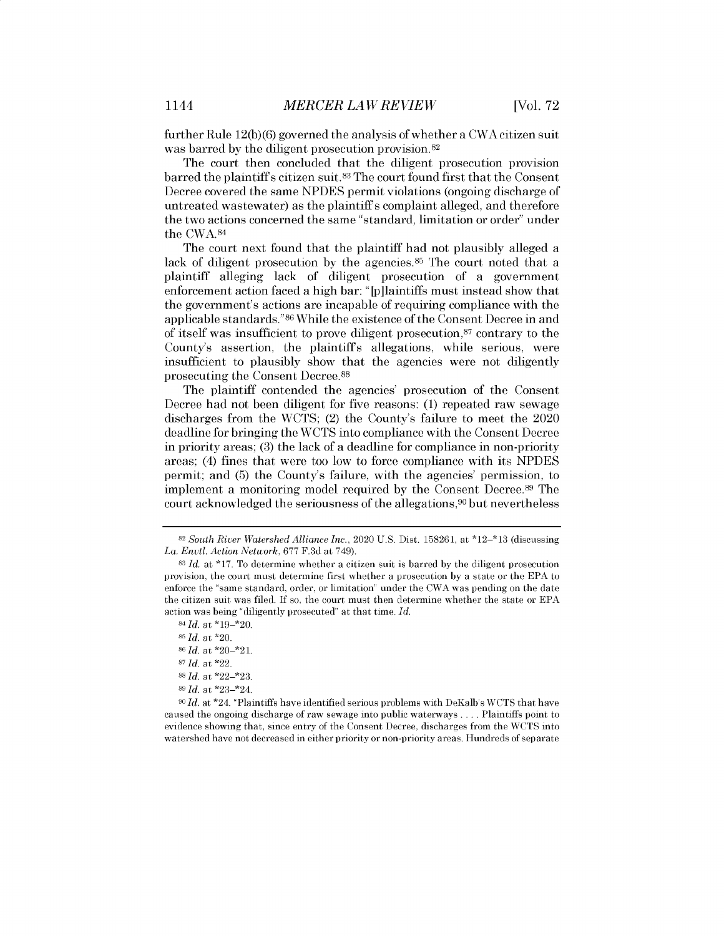further Rule 12(b)(6) governed the analysis of whether a CWA citizen suit was barred by the diligent prosecution provision. <sup>82</sup>

The court then concluded that the diligent prosecution provision barred the plaintiffs citizen suit. <sup>83</sup>The court found first that the Consent Decree covered the same NPDES permit violations (ongoing discharge of untreated wastewater) as the plaintiff s complaint alleged, and therefore the two actions concerned the same "standard, limitation or order" under the CWA.84

The court next found that the plaintiff had not plausibly alleged a lack of diligent prosecution by the agencies.<sup>85</sup> The court noted that a plaintiff alleging lack of diligent prosecution of a government enforcement action faced a high bar: "[p]laintiffs must instead show that the government's actions are incapable of requiring compliance with the applicable standards."<sup>86</sup>While the existence of the Consent Decree in and of itself was insufficient to prove diligent prosecution,<sup>87</sup> contrary to the County's assertion, the plaintiffs allegations, while serious, were insufficient to plausibly show that the agencies were not diligently prosecuting the Consent Decree. <sup>88</sup>

The plaintiff contended the agencies' prosecution of the Consent Decree had not been diligent for five reasons: (1) repeated raw sewage discharges from the WCTS; (2) the County's failure to meet the 2020 deadline for bringing the WCTS into compliance with the Consent Decree in priority areas; (3) the lack of a deadline for compliance in non-priority areas; (4) fines that were too low to force compliance with its NPDES permit; and (5) the County's failure, with the agencies' permission, to implement a monitoring model required by the Consent Decree.<sup>89</sup> The court acknowledged the seriousness of the allegations, <sup>90</sup> but nevertheless

<sup>90</sup>*Id.* at \*24. "Plaintiffs have identified serious problems with DeKalb's WCTS that have caused the ongoing discharge of raw sewage into public waterways . . . . Plaintiffs point to evidence showing that, since entry of the Consent Decree, discharges from the WCTS into watershed have not decreased in either priority or non-priority areas. Hundreds of separate

**<sup>82</sup>***South River Watershed Alliance Inc.,* 2020 U.S. Dist. 158261, at \*12-\*13 (discussing *La. Envtl. Action Network,* 677 F.3d at 749).

**<sup>83</sup>***Id.* at \*17. To determine whether a citizen suit is barred by the diligent prosecution provision, the court must determine first whether a prosecution by a state or the EPA to enforce the "same standard, order, or limitation" under the CWA was pending on the date the citizen suit was filed. If so, the court must then determine whether the state or EPA action was being "diligently prosecuted" at that time. *Id.*

*<sup>84</sup>Id.* at \*19\_\*20.

**<sup>85</sup>***Id.* at \*20.

**<sup>86</sup>***Id.* at \*20\_\*21.

**<sup>87</sup>***Id.* at \*22.

<sup>88</sup>*Id.* at \*22\_\*23.

**<sup>89</sup>***Id.* at \*23\_\*24.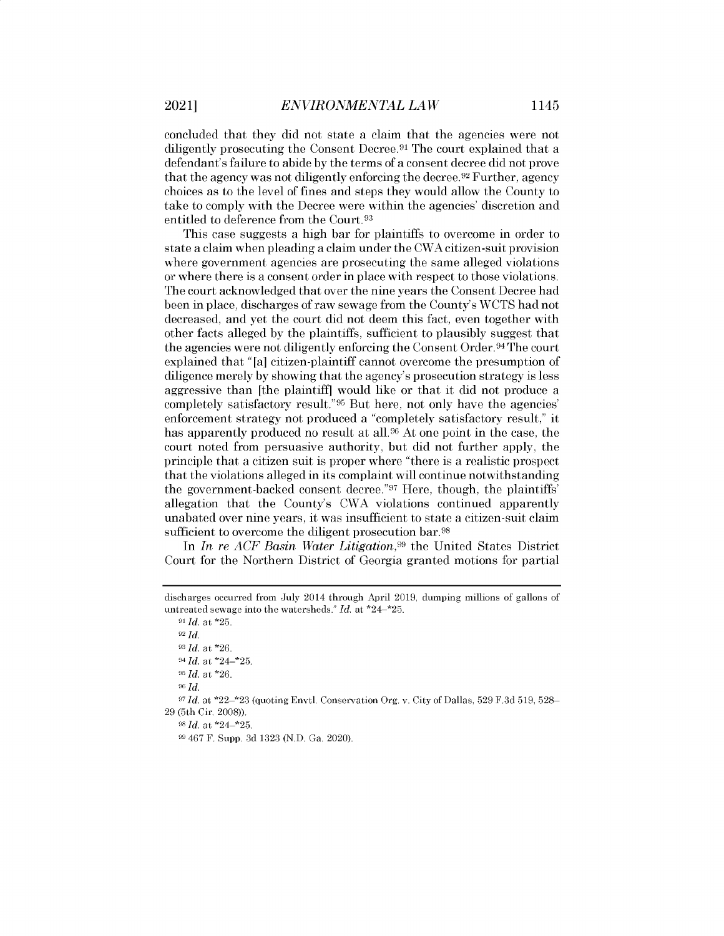concluded that they did not state a claim that the agencies were not diligently prosecuting the Consent Decree.<sup>91</sup> The court explained that a defendant's failure to abide by the terms of a consent decree did not prove that the agency was not diligently enforcing the decree.<sup>92</sup> Further, agency choices as to the level of fines and steps they would allow the County to take to comply with the Decree were within the agencies' discretion and entitled to deference from the Court.<sup>93</sup>

This case suggests a high bar for plaintiffs to overcome in order to state a claim when pleading a claim under the CWA citizen-suit provision where government agencies are prosecuting the same alleged violations or where there is a consent order in place with respect to those violations. The court acknowledged that over the nine years the Consent Decree had been in place, discharges of raw sewage from the County's WCTS had not decreased, and yet the court did not deem this fact, even together with other facts alleged by the plaintiffs, sufficient to plausibly suggest that the agencies were not diligently enforcing the Consent Order. <sup>94</sup>The court explained that "[a] citizen-plaintiff cannot overcome the presumption of diligence merely by showing that the agency's prosecution strategy is less aggressive than [the plaintiff] would like or that it did not produce a completely satisfactory result." <sup>95</sup> But here, not only have the agencies' enforcement strategy not produced a "completely satisfactory result," it has apparently produced no result at all.<sup>96</sup> At one point in the case, the court noted from persuasive authority, but did not further apply, the principle that a citizen suit is proper where "there is a realistic prospect that the violations alleged in its complaint will continue notwithstanding the government-backed consent decree."<sup>97</sup> Here, though, the plaintiffs' allegation that the County's CWA violations continued apparently unabated over nine years, it was insufficient to state a citizen-suit claim sufficient to overcome the diligent prosecution bar.<sup>98</sup>

In *In re ACF Basin Water Litigation*<sup>99</sup> the United States District Court for the Northern District of Georgia granted motions for partial

*Id.* at \*25. <sup>92</sup>*Id. Id.* at \*26. *Id.* at \*24-\*25. *Id.* at \*26. 96 *Id.* Id. at \*22-\*23 (quoting Envtl. Conservation Org. v. City of Dallas, 529 F.3d 519, 528- 29 (5th Cir. 2008)). *Id.* at \*24-\*25. 467 F. Supp. 3d 1323 (N.D. Ga. 2020).

discharges occurred from July 2014 through April 2019, dumping millions of gallons of untreated sewage into the watersheds." *Id.* at \*24-\*25.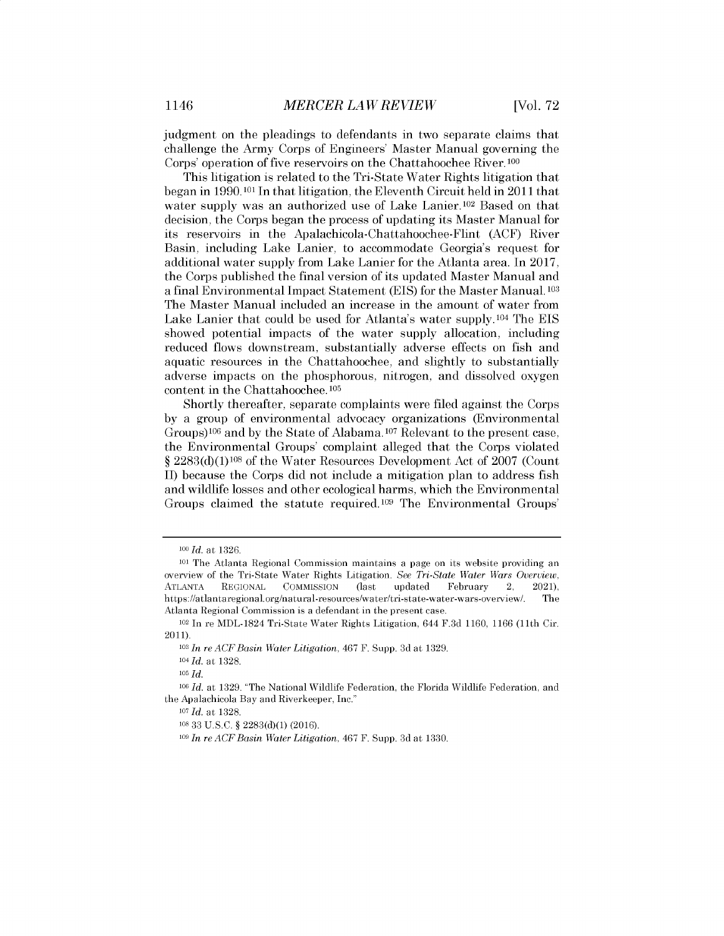judgment on the pleadings to defendants in two separate claims that challenge the Army Corps of Engineers' Master Manual governing the Corps' operation of five reservoirs on the Chattahoochee River. 100

This litigation is related to the Tri-State Water Rights litigation that began in 1990.101 In that litigation, the Eleventh Circuit held in 2011 that water supply was an authorized use of Lake Lanier.  $102$  Based on that decision, the Corps began the process of updating its Master Manual for its reservoirs in the Apalachicola-Chattahoochee-Flint (ACF) River Basin, including Lake Lanier, to accommodate Georgia's request for additional water supply from Lake Lanier for the Atlanta area. In 2017, the Corps published the final version of its updated Master Manual and a final Environmental Impact Statement (EIS) for the Master Manual. **<sup>103</sup>** The Master Manual included an increase in the amount of water from Lake Lanier that could be used for Atlanta's water supply.104 The EIS showed potential impacts of the water supply allocation, including reduced flows downstream, substantially adverse effects on fish and aquatic resources in the Chattahoochee, and slightly to substantially adverse impacts on the phosphorous, nitrogen, and dissolved oxygen content in the Chattahoochee. <sup>105</sup>

Shortly thereafter, separate complaints were filed against the Corps by a group of environmental advocacy organizations (Environmental Groups)<sup>106</sup> and by the State of Alabama.<sup>107</sup> Relevant to the present case, the Environmental Groups' complaint alleged that the Corps violated *§* 2283(d)(1)108 of the Water Resources Development Act of 2007 (Count II) because the Corps did not include a mitigation plan to address fish and wildlife losses and other ecological harms, which the Environmental Groups claimed the statute required.<sup>109</sup> The Environmental Groups'

*<sup>1</sup>lo Id. at* 1326.

<sup>101</sup>The Atlanta Regional Commission maintains a page on its website providing an overview of the Tri-State Water Rights Litigation. *See Tri-State Water Wars Overview,* ATLANTA REGIONAL COMMISSION (last updated February 2, 2021), https://atlantaregional.org/natural-resources/water/tri-state-water-wars-overview/. The Atlanta Regional Commission is a defendant in the present case.

<sup>102</sup>In re MDL-1824 Tri-State Water Rights Litigation, 644 F.3d 1160, 1166 (11th Cir. 2011).

**<sup>103</sup>***In re ACF Basin Water Litigation, 467* F. Supp. 3d at 1329.

<sup>104</sup>*Id* at 1328.

<sup>105</sup> *Id.*

**<sup>106</sup>***Id.* at 1329. "The National Wildlife Federation, the Florida Wildlife Federation, and the Apalachicola Bay and Riverkeeper, Inc."

<sup>107</sup>*Id.* at 1328.

<sup>108</sup>33 U.S.C. § 2283(d)(1) (2016).

**<sup>109</sup>***In re ACF Basin Water Litigation,* 467 F. Supp. 3d at 1330.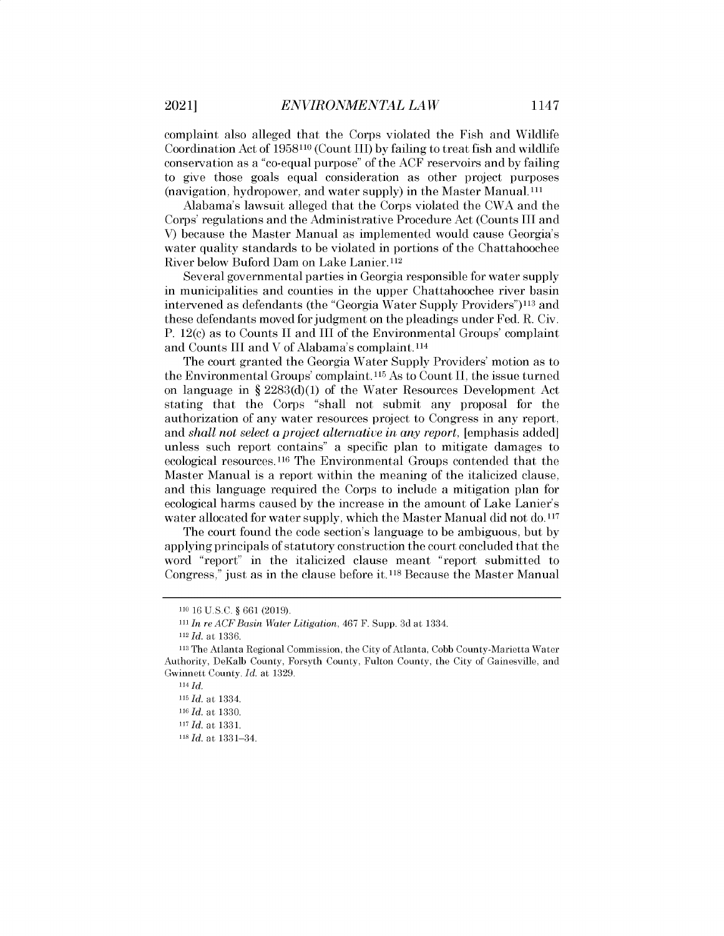complaint also alleged that the Corps violated the Fish and Wildlife Coordination Act of 1958110 (Count III) by failing to treat fish and wildlife conservation as a "co-equal purpose" of the ACF reservoirs and by failing to give those goals equal consideration as other project purposes (navigation, hydropower, and water supply) in the Master Manual.<sup>111</sup>

Alabama's lawsuit alleged that the Corps violated the CWA and the Corps' regulations and the Administrative Procedure Act (Counts III and V) because the Master Manual as implemented would cause Georgia's water quality standards to be violated in portions of the Chattahoochee River below Buford Dam on Lake Lanier. <sup>112</sup>

Several governmental parties in Georgia responsible for water supply in municipalities and counties in the upper Chattahoochee river basin intervened as defendants (the "Georgia Water Supply Providers")<sup>113</sup> and these defendants moved for judgment on the pleadings under Fed. R. Civ. P. 12(c) as to Counts II and III of the Environmental Groups' complaint and Counts III and V of Alabama's complaint.<sup>114</sup>

The court granted the Georgia Water Supply Providers' motion as to the Environmental Groups' complaint. **115** As to Count II, the issue turned on language in § 2283 $(d)(1)$  of the Water Resources Development Act stating that the Corps "shall not submit any proposal for the authorization of any water resources project to Congress in any report, and *shall not select a project alternative in any report,* [emphasis added] unless such report contains" a specific plan to mitigate damages to ecological resources.116 The Environmental Groups contended that the Master Manual is a report within the meaning of the italicized clause, and this language required the Corps to include a mitigation plan for ecological harms caused by the increase in the amount of Lake Lanier's water allocated for water supply, which the Master Manual did not **do. <sup>117</sup>**

The court found the code section's language to be ambiguous, but by applying principals of statutory construction the court concluded that the word "report" in the italicized clause meant "report submitted to Congress," just as in the clause before it. **118** Because the Master Manual

 $114 \, Id.$ 

<sup>110</sup>16 U.S.C. § 661 (2019).

iii *In re ACFBasin Water Litigation, 467* F. Supp. 3d at 1334.

<sup>112</sup>*Id. at* 1336.

<sup>113</sup>The Atlanta Regional Commission, the City of Atlanta, Cobb County-Marietta Water Authority, DeKalb County, Forsyth County, Fulton County, the City of Gainesville, and Gwinnett County. *Id.* at 1329.

<sup>115</sup>*Id. at* 1334.

**<sup>116</sup>Id** *at* 1330.

<sup>117</sup>*Id. at* 1331.

<sup>118</sup>*Id at* 1331-34.